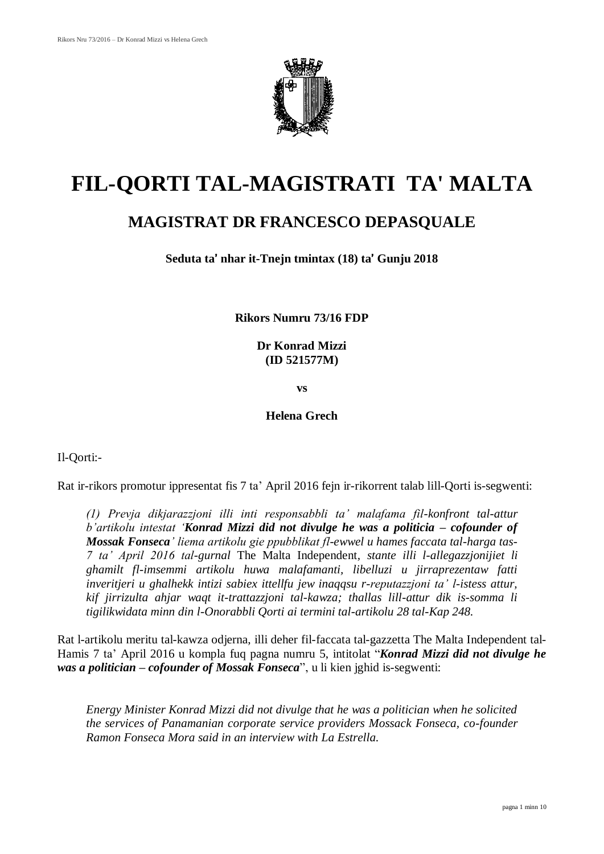

# **FIL-QORTI TAL-MAGISTRATI TA' MALTA**

# **MAGISTRAT DR FRANCESCO DEPASQUALE**

**Seduta ta**' **nhar it-Tnejn tmintax (18) ta**' **Gunju 2018**

**Rikors Numru 73/16 FDP**

**Dr Konrad Mizzi (ID 521577M)**

**vs**

**Helena Grech**

Il-Qorti:-

Rat ir-rikors promotur ippresentat fis 7 ta' April 2016 fejn ir-rikorrent talab lill-Qorti is-segwenti:

*(1) Prevja dikjarazzjoni illi inti responsabbli ta' malafama fil-konfront tal-attur b'artikolu intestat 'Konrad Mizzi did not divulge he was a politicia – cofounder of Mossak Fonseca' liema artikolu gie ppubblikat fl-ewwel u hames faccata tal-harga tas-7 ta' April 2016 tal-gurnal* The Malta Independent*, stante illi l-allegazzjonijiet li ghamilt fl-imsemmi artikolu huwa malafamanti, libelluzi u jirraprezentaw fatti inveritjeri u ghalhekk intizi sabiex ittellfu jew inaqqsu r-reputazzjoni ta' l-istess attur, kif jirrizulta ahjar waqt it-trattazzjoni tal-kawza; thallas lill-attur dik is-somma li tigilikwidata minn din l-Onorabbli Qorti ai termini tal-artikolu 28 tal-Kap 248.*

Rat l-artikolu meritu tal-kawza odjerna, illi deher fil-faccata tal-gazzetta The Malta Independent tal-Hamis 7 ta' April 2016 u kompla fuq pagna numru 5, intitolat "*Konrad Mizzi did not divulge he was a politician – cofounder of Mossak Fonseca*", u li kien jghid is-segwenti:

*Energy Minister Konrad Mizzi did not divulge that he was a politician when he solicited the services of Panamanian corporate service providers Mossack Fonseca, co-founder Ramon Fonseca Mora said in an interview with La Estrella.*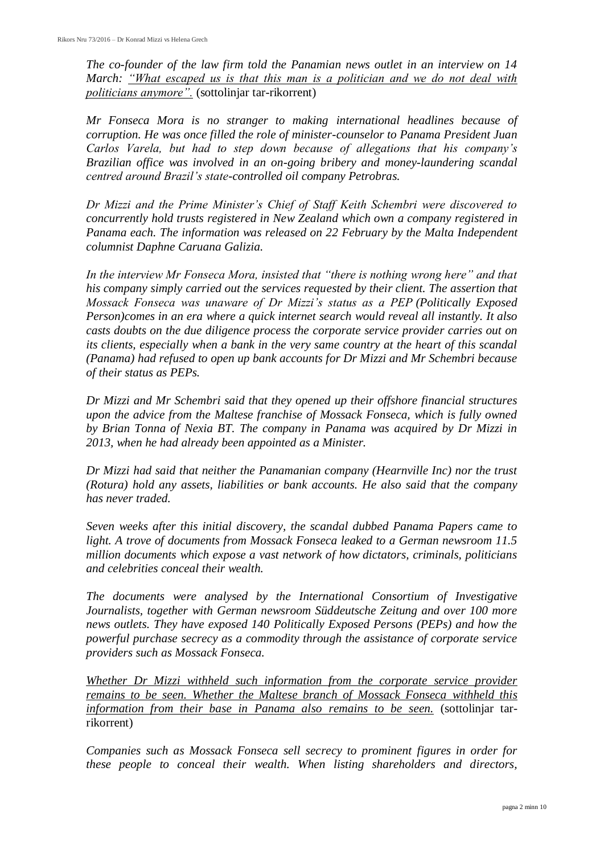*The co-founder of the law firm told the Panamian news outlet in an interview on 14 March: "What escaped us is that this man is a politician and we do not deal with politicians anymore".* (sottolinjar tar-rikorrent)

*Mr Fonseca Mora is no stranger to making international headlines because of corruption. He was once filled the role of minister-counselor to Panama President Juan Carlos Varela, but had to step down because of allegations that his company's Brazilian office was involved in an on-going bribery and money-laundering scandal centred around Brazil's state-controlled oil company Petrobras.*

*Dr Mizzi and the Prime Minister's Chief of Staff Keith Schembri were discovered to concurrently hold trusts registered in New Zealand which own a company registered in Panama each. The information was released on 22 February by the Malta Independent columnist Daphne Caruana Galizia.*

*In the interview Mr Fonseca Mora, insisted that "there is nothing wrong here" and that his company simply carried out the services requested by their client. The assertion that Mossack Fonseca was unaware of Dr Mizzi's status as a PEP (Politically Exposed Person)comes in an era where a quick internet search would reveal all instantly. It also casts doubts on the due diligence process the corporate service provider carries out on its clients, especially when a bank in the very same country at the heart of this scandal (Panama) had refused to open up bank accounts for Dr Mizzi and Mr Schembri because of their status as PEPs.*

*Dr Mizzi and Mr Schembri said that they opened up their offshore financial structures upon the advice from the Maltese franchise of Mossack Fonseca, which is fully owned by Brian Tonna of Nexia BT. The company in Panama was acquired by Dr Mizzi in 2013, when he had already been appointed as a Minister.*

*Dr Mizzi had said that neither the Panamanian company (Hearnville Inc) nor the trust (Rotura) hold any assets, liabilities or bank accounts. He also said that the company has never traded.*

*Seven weeks after this initial discovery, the scandal dubbed Panama Papers came to light. A trove of documents from Mossack Fonseca leaked to a German newsroom 11.5 million documents which expose a vast network of how dictators, criminals, politicians and celebrities conceal their wealth.*

*The documents were analysed by the International Consortium of Investigative Journalists, together with German newsroom Süddeutsche Zeitung and over 100 more news outlets. They have exposed 140 Politically Exposed Persons (PEPs) and how the powerful purchase secrecy as a commodity through the assistance of corporate service providers such as Mossack Fonseca.*

*Whether Dr Mizzi withheld such information from the corporate service provider remains to be seen. Whether the Maltese branch of Mossack Fonseca withheld this information from their base in Panama also remains to be seen.* (sottolinjar tarrikorrent)

*Companies such as Mossack Fonseca sell secrecy to prominent figures in order for these people to conceal their wealth. When listing shareholders and directors,*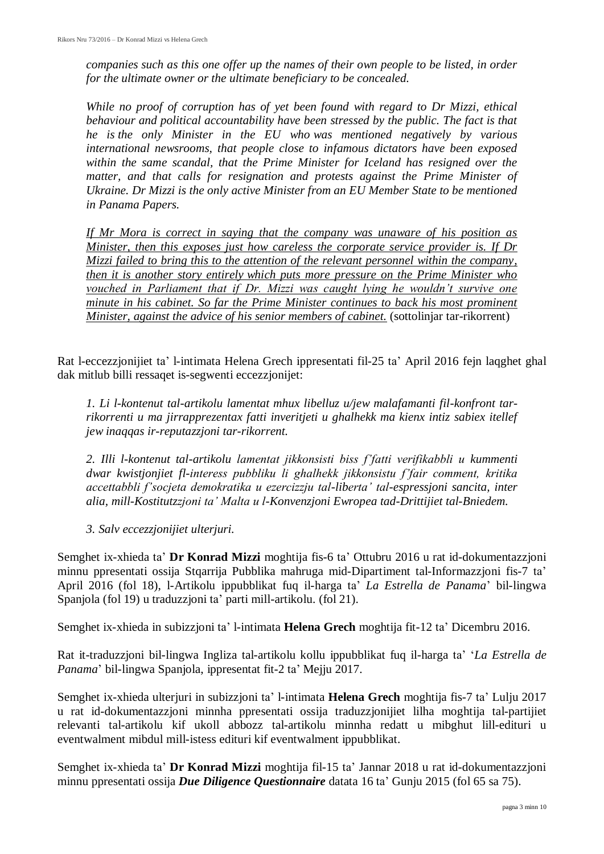*companies such as this one offer up the names of their own people to be listed, in order for the ultimate owner or the ultimate beneficiary to be concealed.*

*While no proof of corruption has of yet been found with regard to Dr Mizzi, ethical behaviour and political accountability have been stressed by the public. The fact is that he is the only Minister in the EU who was mentioned negatively by various international newsrooms, that people close to infamous dictators have been exposed within the same scandal, that the Prime Minister for Iceland has resigned over the matter, and that calls for resignation and protests against the Prime Minister of Ukraine. Dr Mizzi is the only active Minister from an EU Member State to be mentioned in Panama Papers.*

*If Mr Mora is correct in saying that the company was unaware of his position as Minister, then this exposes just how careless the corporate service provider is. If Dr Mizzi failed to bring this to the attention of the relevant personnel within the company, then it is another story entirely which puts more pressure on the Prime Minister who vouched in Parliament that if Dr. Mizzi was caught lying he wouldn't survive one minute in his cabinet. So far the Prime Minister continues to back his most prominent Minister, against the advice of his senior members of cabinet.* (sottolinjar tar-rikorrent)

Rat l-eccezzjonijiet ta' l-intimata Helena Grech ippresentati fil-25 ta' April 2016 fejn laqghet ghal dak mitlub billi ressaqet is-segwenti eccezzjonijet:

*1. Li l-kontenut tal-artikolu lamentat mhux libelluz u/jew malafamanti fil-konfront tarrikorrenti u ma jirrapprezentax fatti inveritjeti u ghalhekk ma kienx intiz sabiex itellef jew inaqqas ir-reputazzjoni tar-rikorrent.*

*2. Illi l-kontenut tal-artikolu lamentat jikkonsisti biss f'fatti verifikabbli u kummenti dwar kwistjonjiet fl-interess pubbliku li ghalhekk jikkonsistu f'fair comment, kritika accettabbli f'socjeta demokratika u ezercizzju tal-liberta' tal-espressjoni sancita, inter alia, mill-Kostitutzzjoni ta' Malta u l-Konvenzjoni Ewropea tad-Drittijiet tal-Bniedem.*

*3. Salv eccezzjonijiet ulterjuri.*

Semghet ix-xhieda ta' **Dr Konrad Mizzi** moghtija fis-6 ta' Ottubru 2016 u rat id-dokumentazzjoni minnu ppresentati ossija Stqarrija Pubblika mahruga mid-Dipartiment tal-Informazzjoni fis-7 ta' April 2016 (fol 18), l-Artikolu ippubblikat fuq il-harga ta' *La Estrella de Panama*' bil-lingwa Spanjola (fol 19) u traduzzjoni ta' parti mill-artikolu. (fol 21).

Semghet ix-xhieda in subizzjoni ta' l-intimata **Helena Grech** moghtija fit-12 ta' Dicembru 2016.

Rat it-traduzzjoni bil-lingwa Ingliza tal-artikolu kollu ippubblikat fuq il-harga ta' '*La Estrella de Panama*' bil-lingwa Spanjola, ippresentat fit-2 ta' Mejju 2017.

Semghet ix-xhieda ulterjuri in subizzjoni ta' l-intimata **Helena Grech** moghtija fis-7 ta' Lulju 2017 u rat id-dokumentazzjoni minnha ppresentati ossija traduzzjonijiet lilha moghtija tal-partijiet relevanti tal-artikolu kif ukoll abbozz tal-artikolu minnha redatt u mibghut lill-edituri u eventwalment mibdul mill-istess edituri kif eventwalment ippubblikat.

Semghet ix-xhieda ta' **Dr Konrad Mizzi** moghtija fil-15 ta' Jannar 2018 u rat id-dokumentazzjoni minnu ppresentati ossija *Due Diligence Questionnaire* datata 16 ta' Gunju 2015 (fol 65 sa 75).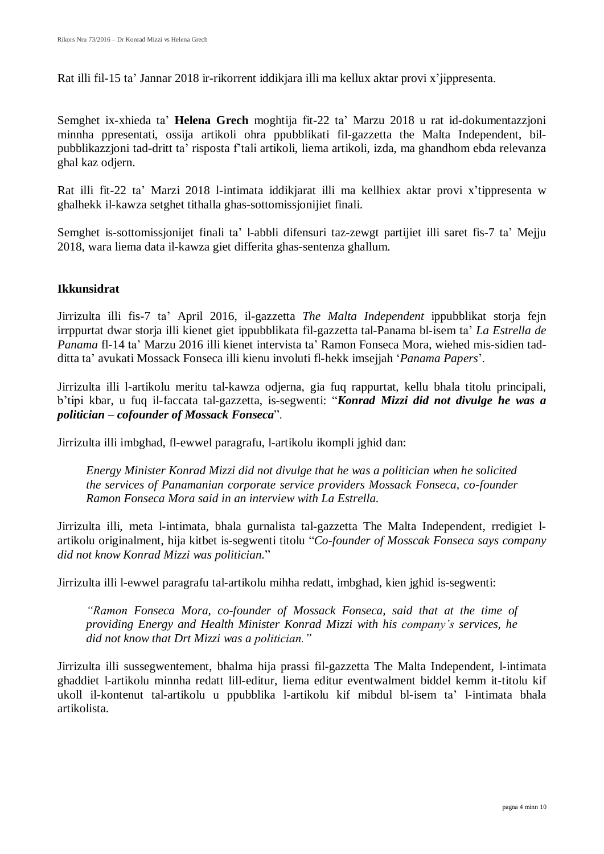Rat illi fil-15 ta' Jannar 2018 ir-rikorrent iddikjara illi ma kellux aktar provi x'jippresenta.

Semghet ix-xhieda ta' **Helena Grech** moghtija fit-22 ta' Marzu 2018 u rat id-dokumentazzjoni minnha ppresentati, ossija artikoli ohra ppubblikati fil-gazzetta the Malta Independent, bilpubblikazzjoni tad-dritt ta' risposta f'tali artikoli, liema artikoli, izda, ma ghandhom ebda relevanza ghal kaz odjern.

Rat illi fit-22 ta' Marzi 2018 l-intimata iddikjarat illi ma kellhiex aktar provi x'tippresenta w ghalhekk il-kawza setghet tithalla ghas-sottomissjonijiet finali.

Semghet is-sottomissjonijet finali ta' l-abbli difensuri taz-zewgt partijiet illi saret fis-7 ta' Mejju 2018, wara liema data il-kawza giet differita ghas-sentenza ghallum.

### **Ikkunsidrat**

Jirrizulta illi fis-7 ta' April 2016, il-gazzetta *The Malta Independent* ippubblikat storja fejn irrppurtat dwar storja illi kienet giet ippubblikata fil-gazzetta tal-Panama bl-isem ta' *La Estrella de Panama* fl-14 ta' Marzu 2016 illi kienet intervista ta' Ramon Fonseca Mora, wiehed mis-sidien tadditta ta' avukati Mossack Fonseca illi kienu involuti fl-hekk imsejjah '*Panama Papers*'.

Jirrizulta illi l-artikolu meritu tal-kawza odjerna, gia fuq rappurtat, kellu bhala titolu principali, b'tipi kbar, u fuq il-faccata tal-gazzetta, is-segwenti: "*Konrad Mizzi did not divulge he was a politician – cofounder of Mossack Fonseca*".

Jirrizulta illi imbghad, fl-ewwel paragrafu, l-artikolu ikompli jghid dan:

*Energy Minister Konrad Mizzi did not divulge that he was a politician when he solicited the services of Panamanian corporate service providers Mossack Fonseca, co-founder Ramon Fonseca Mora said in an interview with La Estrella.*

Jirrizulta illi, meta l-intimata, bhala gurnalista tal-gazzetta The Malta Independent, rredigiet lartikolu originalment, hija kitbet is-segwenti titolu "*Co-founder of Mosscak Fonseca says company did not know Konrad Mizzi was politician.*"

Jirrizulta illi l-ewwel paragrafu tal-artikolu mihha redatt, imbghad, kien jghid is-segwenti:

*"Ramon Fonseca Mora, co-founder of Mossack Fonseca, said that at the time of providing Energy and Health Minister Konrad Mizzi with his company's services, he did not know that Drt Mizzi was a politician."*

Jirrizulta illi sussegwentement, bhalma hija prassi fil-gazzetta The Malta Independent, l-intimata ghaddiet l-artikolu minnha redatt lill-editur, liema editur eventwalment biddel kemm it-titolu kif ukoll il-kontenut tal-artikolu u ppubblika l-artikolu kif mibdul bl-isem ta' l-intimata bhala artikolista.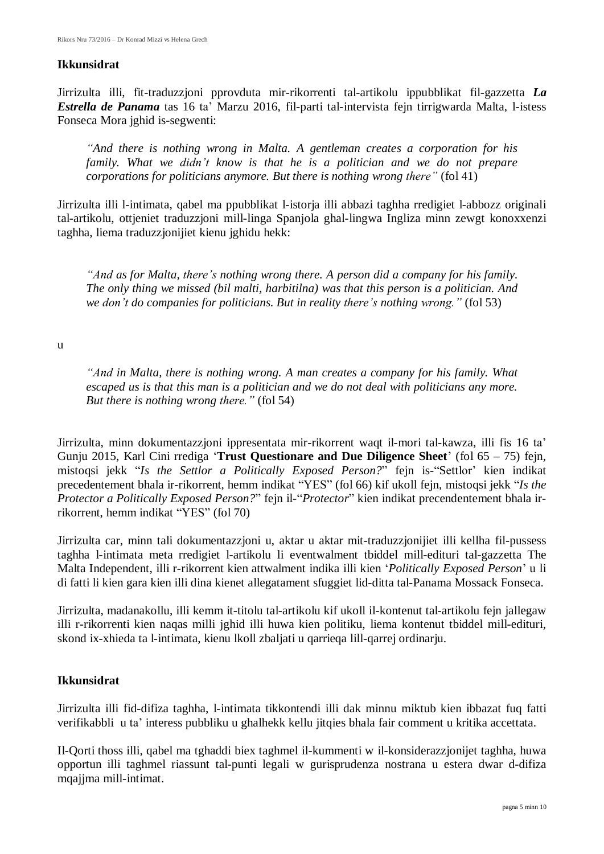#### **Ikkunsidrat**

Jirrizulta illi, fit-traduzzjoni pprovduta mir-rikorrenti tal-artikolu ippubblikat fil-gazzetta *La Estrella de Panama* tas 16 ta' Marzu 2016, fil-parti tal-intervista fejn tirrigwarda Malta, l-istess Fonseca Mora jghid is-segwenti:

*"And there is nothing wrong in Malta. A gentleman creates a corporation for his family. What we didn't know is that he is a politician and we do not prepare corporations for politicians anymore. But there is nothing wrong there"* (fol 41)

Jirrizulta illi l-intimata, qabel ma ppubblikat l-istorja illi abbazi taghha rredigiet l-abbozz originali tal-artikolu, ottjeniet traduzzjoni mill-linga Spanjola ghal-lingwa Ingliza minn zewgt konoxxenzi taghha, liema traduzzjonijiet kienu jghidu hekk:

*"And as for Malta, there's nothing wrong there. A person did a company for his family. The only thing we missed (bil malti, harbitilna) was that this person is a politician. And we don't do companies for politicians. But in reality there's nothing wrong."* (fol 53)

#### u

*"And in Malta, there is nothing wrong. A man creates a company for his family. What escaped us is that this man is a politician and we do not deal with politicians any more. But there is nothing wrong there."* (fol 54)

Jirrizulta, minn dokumentazzjoni ippresentata mir-rikorrent waqt il-mori tal-kawza, illi fis 16 ta' Gunju 2015, Karl Cini rrediga '**Trust Questionare and Due Diligence Sheet**' (fol 65 – 75) fejn, mistoqsi jekk "*Is the Settlor a Politically Exposed Person?*" fejn is-"Settlor' kien indikat precedentement bhala ir-rikorrent, hemm indikat "YES" (fol 66) kif ukoll fejn, mistoqsi jekk "*Is the Protector a Politically Exposed Person?*" fejn il-"*Protector*" kien indikat precendentement bhala irrikorrent, hemm indikat "YES" (fol 70)

Jirrizulta car, minn tali dokumentazzjoni u, aktar u aktar mit-traduzzjonijiet illi kellha fil-pussess taghha l-intimata meta rredigiet l-artikolu li eventwalment tbiddel mill-edituri tal-gazzetta The Malta Independent, illi r-rikorrent kien attwalment indika illi kien '*Politically Exposed Person*' u li di fatti li kien gara kien illi dina kienet allegatament sfuggiet lid-ditta tal-Panama Mossack Fonseca.

Jirrizulta, madanakollu, illi kemm it-titolu tal-artikolu kif ukoll il-kontenut tal-artikolu fejn jallegaw illi r-rikorrenti kien naqas milli jghid illi huwa kien politiku, liema kontenut tbiddel mill-edituri, skond ix-xhieda ta l-intimata, kienu lkoll zbaljati u qarrieqa lill-qarrej ordinarju.

#### **Ikkunsidrat**

Jirrizulta illi fid-difiza taghha, l-intimata tikkontendi illi dak minnu miktub kien ibbazat fuq fatti verifikabbli u ta' interess pubbliku u ghalhekk kellu jitqies bhala fair comment u kritika accettata.

Il-Qorti thoss illi, qabel ma tghaddi biex taghmel il-kummenti w il-konsiderazzjonijet taghha, huwa opportun illi taghmel riassunt tal-punti legali w gurisprudenza nostrana u estera dwar d-difiza mqajjma mill-intimat.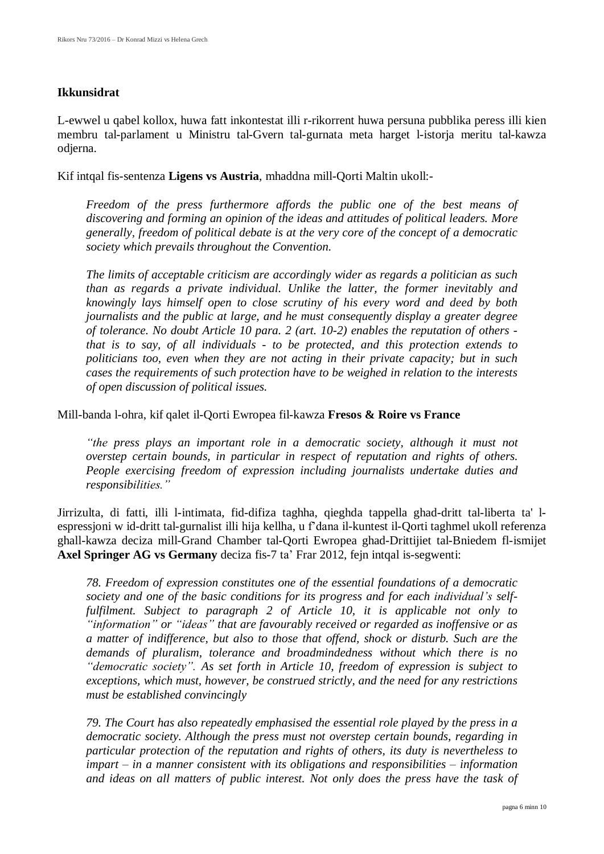#### **Ikkunsidrat**

L-ewwel u qabel kollox, huwa fatt inkontestat illi r-rikorrent huwa persuna pubblika peress illi kien membru tal-parlament u Ministru tal-Gvern tal-gurnata meta harget l-istorja meritu tal-kawza odjerna.

Kif intqal fis-sentenza **Ligens vs Austria**, mhaddna mill-Qorti Maltin ukoll:-

*Freedom of the press furthermore affords the public one of the best means of discovering and forming an opinion of the ideas and attitudes of political leaders. More generally, freedom of political debate is at the very core of the concept of a democratic society which prevails throughout the Convention.*

*The limits of acceptable criticism are accordingly wider as regards a politician as such than as regards a private individual. Unlike the latter, the former inevitably and knowingly lays himself open to close scrutiny of his every word and deed by both journalists and the public at large, and he must consequently display a greater degree of tolerance. No doubt Article 10 para. 2 (art. 10-2) enables the reputation of others that is to say, of all individuals - to be protected, and this protection extends to politicians too, even when they are not acting in their private capacity; but in such cases the requirements of such protection have to be weighed in relation to the interests of open discussion of political issues.*

Mill-banda l-ohra, kif qalet il-Qorti Ewropea fil-kawza **Fresos & Roire vs France**

*"the press plays an important role in a democratic society, although it must not overstep certain bounds, in particular in respect of reputation and rights of others. People exercising freedom of expression including journalists undertake duties and responsibilities."*

Jirrizulta, di fatti, illi l-intimata, fid-difiza taghha, qieghda tappella ghad-dritt tal-liberta ta' lespressjoni w id-dritt tal-gurnalist illi hija kellha, u f'dana il-kuntest il-Qorti taghmel ukoll referenza ghall-kawza deciza mill-Grand Chamber tal-Qorti Ewropea ghad-Drittijiet tal-Bniedem fl-ismijet **Axel Springer AG vs Germany** deciza fis-7 ta' Frar 2012, fejn intqal is-segwenti:

*78. Freedom of expression constitutes one of the essential foundations of a democratic society and one of the basic conditions for its progress and for each individual's selffulfilment. Subject to paragraph 2 of Article 10, it is applicable not only to "information" or "ideas" that are favourably received or regarded as inoffensive or as a matter of indifference, but also to those that offend, shock or disturb. Such are the demands of pluralism, tolerance and broadmindedness without which there is no "democratic society". As set forth in Article 10, freedom of expression is subject to exceptions, which must, however, be construed strictly, and the need for any restrictions must be established convincingly*

*79. The Court has also repeatedly emphasised the essential role played by the press in a democratic society. Although the press must not overstep certain bounds, regarding in particular protection of the reputation and rights of others, its duty is nevertheless to impart – in a manner consistent with its obligations and responsibilities – information and ideas on all matters of public interest. Not only does the press have the task of*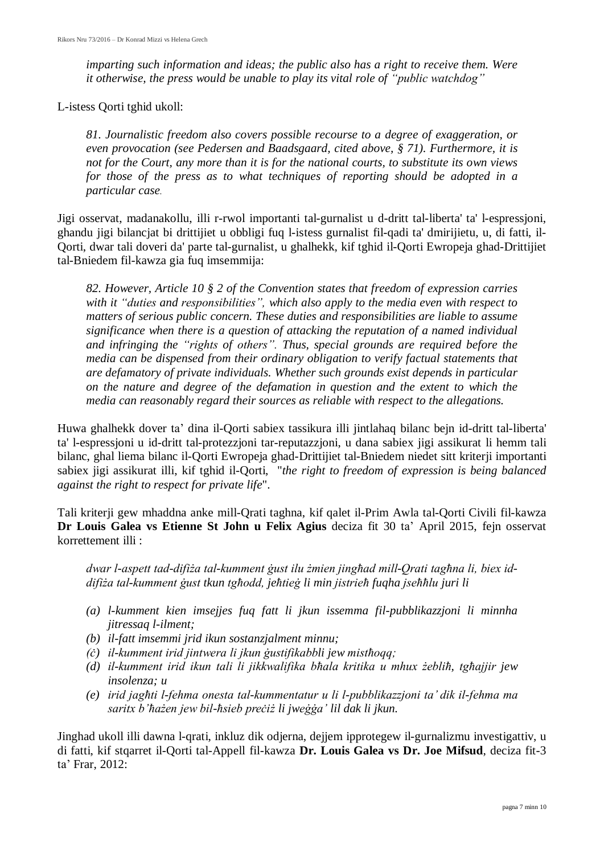*imparting such information and ideas; the public also has a right to receive them. Were it otherwise, the press would be unable to play its vital role of "public watchdog"*

L-istess Qorti tghid ukoll:

*81. Journalistic freedom also covers possible recourse to a degree of exaggeration, or even provocation (see Pedersen and Baadsgaard, cited above, § 71). Furthermore, it is not for the Court, any more than it is for the national courts, to substitute its own views for those of the press as to what techniques of reporting should be adopted in a particular case.*

Jigi osservat, madanakollu, illi r-rwol importanti tal-gurnalist u d-dritt tal-liberta' ta' l-espressjoni, ghandu jigi bilancjat bi drittijiet u obbligi fuq l-istess gurnalist fil-qadi ta' dmirijietu, u, di fatti, il-Qorti, dwar tali doveri da' parte tal-gurnalist, u ghalhekk, kif tghid il-Qorti Ewropeja ghad-Drittijiet tal-Bniedem fil-kawza gia fuq imsemmija:

*82. However, Article 10 § 2 of the Convention states that freedom of expression carries with it "duties and responsibilities", which also apply to the media even with respect to matters of serious public concern. These duties and responsibilities are liable to assume significance when there is a question of attacking the reputation of a named individual and infringing the "rights of others". Thus, special grounds are required before the media can be dispensed from their ordinary obligation to verify factual statements that are defamatory of private individuals. Whether such grounds exist depends in particular on the nature and degree of the defamation in question and the extent to which the media can reasonably regard their sources as reliable with respect to the allegations.*

Huwa ghalhekk dover ta' dina il-Qorti sabiex tassikura illi jintlahaq bilanc bejn id-dritt tal-liberta' ta' l-espressjoni u id-dritt tal-protezzjoni tar-reputazzjoni, u dana sabiex jigi assikurat li hemm tali bilanc, ghal liema bilanc il-Qorti Ewropeja ghad-Drittijiet tal-Bniedem niedet sitt kriterji importanti sabiex jigi assikurat illi, kif tghid il-Qorti, "*the right to freedom of expression is being balanced against the right to respect for private life*".

Tali kriterji gew mhaddna anke mill-Qrati taghna, kif qalet il-Prim Awla tal-Qorti Civili fil-kawza **Dr Louis Galea vs Etienne St John u Felix Agius** deciza fit 30 ta' April 2015, fejn osservat korrettement illi :

dwar l-aspett tad-difiza tal-kumment gust ilu zmien jinghad mill-Orati taghna li, biex id*difi a tal-kumment ust tkun tg odd, je tie li min jistrie fuqha jse lu juri li*

- *(a) l-kumment kien imsejjes fuq fatt li jkun issemma fil-pubblikazzjoni li minnha jitressaq l-ilment;*
- *(b) il-fatt imsemmi jrid ikun sostanzjalment minnu;*
- *(c) il-kumment irid jintwera li jkun gustifikabbli jew misthoqq;*
- *(d) il-kumment irid ikun tali li jikkwalifika b ala kritika u mhu ebli , tg ajjir jew insolenza; u*
- *(e) irid jag ti l-fehma onesta tal-kummentatur u li l-pubblikazzjoni ta' dik il-fehma ma sarit b' a en jew bil- sieb pre i li jwe a' lil dak li jkun.*

Jinghad ukoll illi dawna l-qrati, inkluz dik odjerna, dejjem ipprotegew il-gurnalizmu investigattiv, u di fatti, kif stqarret il-Qorti tal-Appell fil-kawza **Dr. Louis Galea vs Dr. Joe Mifsud**, deciza fit-3 ta' Frar, 2012: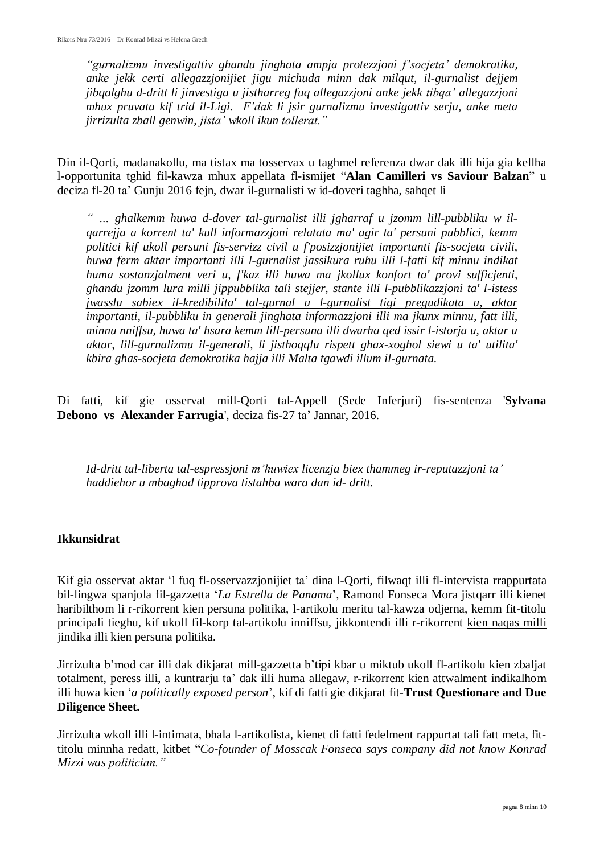*"gurnalizmu investigattiv ghandu jinghata ampja protezzjoni f'socjeta' demokratika, anke jekk certi allegazzjonijiet jigu michuda minn dak milqut, il-gurnalist dejjem jibqalghu d-dritt li jinvestiga u jistharreg fuq allegazzjoni anke jekk tibqa' allegazzjoni mhux pruvata kif trid il-Ligi. F'dak li jsir gurnalizmu investigattiv serju, anke meta jirrizulta zball genwin, jista' wkoll ikun tollerat."* 

Din il-Qorti, madanakollu, ma tistax ma tosservax u taghmel referenza dwar dak illi hija gia kellha l-opportunita tghid fil-kawza mhux appellata fl-ismijet "**Alan Camilleri vs Saviour Balzan**" u deciza fl-20 ta' Gunju 2016 fejn, dwar il-gurnalisti w id-doveri taghha, sahqet li

*" … ghalkemm huwa d-dover tal-gurnalist illi jgharraf u jzomm lill-pubbliku w ilqarrejja a korrent ta' kull informazzjoni relatata ma' agir ta' persuni pubblici, kemm politici kif ukoll persuni fis-servizz civil u f'posizzjonijiet importanti fis-socjeta civili, huwa ferm aktar importanti illi l-gurnalist jassikura ruhu illi l-fatti kif minnu indikat huma sostanzjalment veri u, f'kaz illi huwa ma jkollux konfort ta' provi sufficjenti, ghandu jzomm lura milli jippubblika tali stejjer, stante illi l-pubblikazzjoni ta' l-istess jwasslu sabiex il-kredibilita' tal-gurnal u l-gurnalist tigi pregudikata u, aktar importanti, il-pubbliku in generali jinghata informazzjoni illi ma jkunx minnu, fatt illi, minnu nniffsu, huwa ta' hsara kemm lill-persuna illi dwarha qed issir l-istorja u, aktar u aktar, lill-gurnalizmu il-generali, li jisthoqqlu rispett ghax-xoghol siewi u ta' utilita' kbira ghas-socjeta demokratika hajja illi Malta tgawdi illum il-gurnata.*

Di fatti, kif gie osservat mill-Qorti tal-Appell (Sede Inferjuri) fis-sentenza '**Sylvana Debono vs Alexander Farrugia**', deciza fis-27 ta' Jannar, 2016.

*Id-dritt tal-liberta tal-espressjoni m'huwie licenzja biex thammeg ir-reputazzjoni ta' haddiehor u mbaghad tipprova tistahba wara dan id- dritt.*

#### **Ikkunsidrat**

Kif gia osservat aktar 'l fuq fl-osservazzjonijiet ta' dina l-Qorti, filwaqt illi fl-intervista rrappurtata bil-lingwa spanjola fil-gazzetta '*La Estrella de Panama*', Ramond Fonseca Mora jistqarr illi kienet haribilthom li r-rikorrent kien persuna politika, l-artikolu meritu tal-kawza odjerna, kemm fit-titolu principali tieghu, kif ukoll fil-korp tal-artikolu inniffsu, jikkontendi illi r-rikorrent kien naqas milli jindika illi kien persuna politika.

Jirrizulta b'mod car illi dak dikjarat mill-gazzetta b'tipi kbar u miktub ukoll fl-artikolu kien zbaljat totalment, peress illi, a kuntrarju ta' dak illi huma allegaw, r-rikorrent kien attwalment indikalhom illi huwa kien '*a politically exposed person*', kif di fatti gie dikjarat fit-**Trust Questionare and Due Diligence Sheet.**

Jirrizulta wkoll illi l-intimata, bhala l-artikolista, kienet di fatti fedelment rappurtat tali fatt meta, fittitolu minnha redatt, kitbet "*Co-founder of Mosscak Fonseca says company did not know Konrad Mizzi was politician."*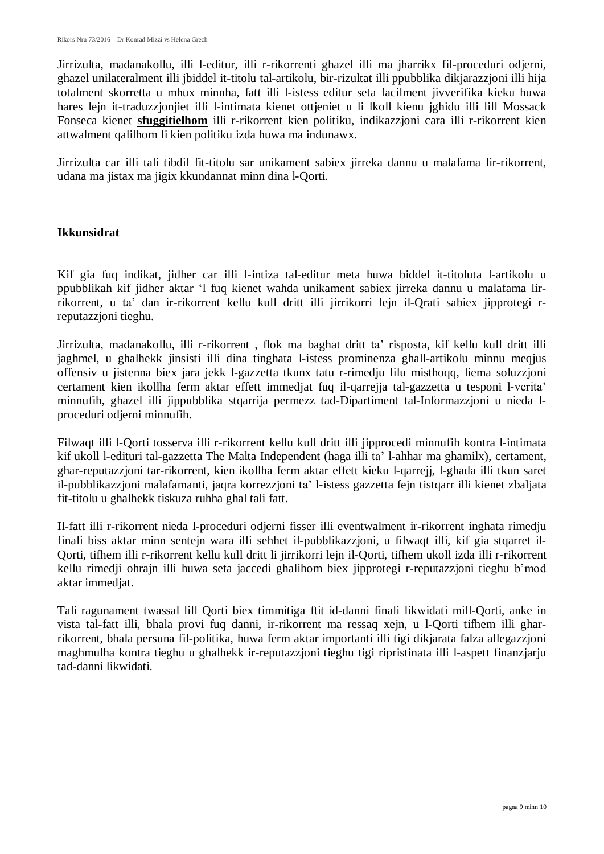Jirrizulta, madanakollu, illi l-editur, illi r-rikorrenti ghazel illi ma jharrikx fil-proceduri odjerni, ghazel unilateralment illi jbiddel it-titolu tal-artikolu, bir-rizultat illi ppubblika dikjarazzjoni illi hija totalment skorretta u mhux minnha, fatt illi l-istess editur seta facilment jivverifika kieku huwa hares lein it-traduzzioniiet illi l-intimata kienet ottieniet u li lkoll kienu jghidu illi lill Mossack Fonseca kienet **sfuggitielhom** illi r-rikorrent kien politiku, indikazzjoni cara illi r-rikorrent kien attwalment qalilhom li kien politiku izda huwa ma indunawx.

Jirrizulta car illi tali tibdil fit-titolu sar unikament sabiex jirreka dannu u malafama lir-rikorrent, udana ma jistax ma jigix kkundannat minn dina l-Qorti.

### **Ikkunsidrat**

Kif gia fuq indikat, jidher car illi l-intiza tal-editur meta huwa biddel it-titoluta l-artikolu u ppubblikah kif jidher aktar 'l fuq kienet wahda unikament sabiex jirreka dannu u malafama lirrikorrent, u ta' dan ir-rikorrent kellu kull dritt illi jirrikorri lejn il-Qrati sabiex jipprotegi rreputazzjoni tieghu.

Jirrizulta, madanakollu, illi r-rikorrent , flok ma baghat dritt ta' risposta, kif kellu kull dritt illi jaghmel, u ghalhekk jinsisti illi dina tinghata l-istess prominenza ghall-artikolu minnu meqjus offensiv u jistenna biex jara jekk l-gazzetta tkunx tatu r-rimedju lilu misthoqq, liema soluzzjoni certament kien ikollha ferm aktar effett immedjat fuq il-qarrejja tal-gazzetta u tesponi l-verita' minnufih, ghazel illi jippubblika stqarrija permezz tad-Dipartiment tal-Informazzjoni u nieda lproceduri odjerni minnufih.

Filwaqt illi l-Qorti tosserva illi r-rikorrent kellu kull dritt illi jipprocedi minnufih kontra l-intimata kif ukoll l-edituri tal-gazzetta The Malta Independent (haga illi ta' l-ahhar ma ghamilx), certament, ghar-reputazzjoni tar-rikorrent, kien ikollha ferm aktar effett kieku l-qarrejj, l-ghada illi tkun saret il-pubblikazzjoni malafamanti, jaqra korrezzjoni ta' l-istess gazzetta fejn tistqarr illi kienet zbaljata fit-titolu u ghalhekk tiskuza ruhha ghal tali fatt.

Il-fatt illi r-rikorrent nieda l-proceduri odjerni fisser illi eventwalment ir-rikorrent inghata rimedju finali biss aktar minn sentejn wara illi sehhet il-pubblikazzjoni, u filwaqt illi, kif gia stqarret il-Qorti, tifhem illi r-rikorrent kellu kull dritt li jirrikorri lejn il-Qorti, tifhem ukoll izda illi r-rikorrent kellu rimedji ohrajn illi huwa seta jaccedi ghalihom biex jipprotegi r-reputazzjoni tieghu b'mod aktar immedjat.

Tali ragunament twassal lill Qorti biex timmitiga ftit id-danni finali likwidati mill-Qorti, anke in vista tal-fatt illi, bhala provi fuq danni, ir-rikorrent ma ressaq xejn, u l-Qorti tifhem illi gharrikorrent, bhala persuna fil-politika, huwa ferm aktar importanti illi tigi dikjarata falza allegazzjoni maghmulha kontra tieghu u ghalhekk ir-reputazzjoni tieghu tigi ripristinata illi l-aspett finanzjarju tad-danni likwidati.